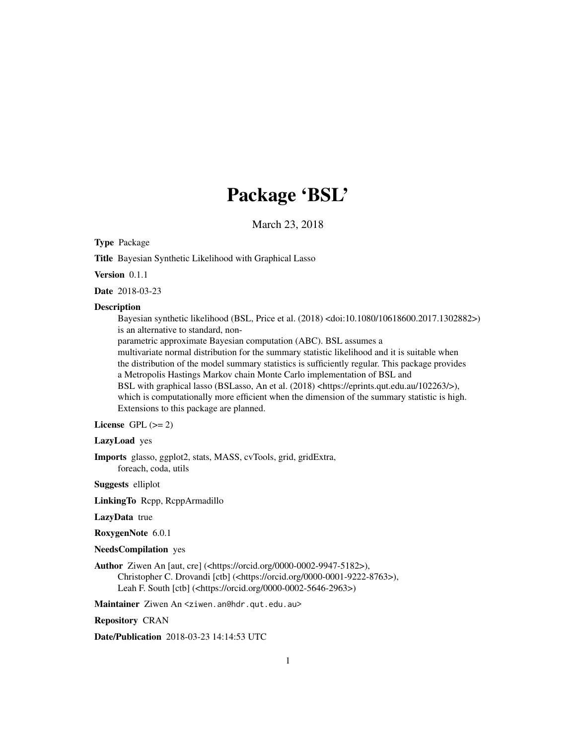# Package 'BSL'

March 23, 2018

Type Package

Title Bayesian Synthetic Likelihood with Graphical Lasso

Version 0.1.1

Date 2018-03-23

#### **Description**

Bayesian synthetic likelihood (BSL, Price et al. (2018) <doi:10.1080/10618600.2017.1302882>) is an alternative to standard, non-

parametric approximate Bayesian computation (ABC). BSL assumes a

multivariate normal distribution for the summary statistic likelihood and it is suitable when the distribution of the model summary statistics is sufficiently regular. This package provides a Metropolis Hastings Markov chain Monte Carlo implementation of BSL and BSL with graphical lasso (BSLasso, An et al. (2018) <https://eprints.qut.edu.au/102263/>), which is computationally more efficient when the dimension of the summary statistic is high. Extensions to this package are planned.

License GPL  $(>= 2)$ 

#### LazyLoad yes

Imports glasso, ggplot2, stats, MASS, cvTools, grid, gridExtra, foreach, coda, utils

Suggests elliplot

LinkingTo Rcpp, RcppArmadillo

# LazyData true

RoxygenNote 6.0.1

NeedsCompilation yes

Author Ziwen An [aut, cre] (<https://orcid.org/0000-0002-9947-5182>), Christopher C. Drovandi [ctb] (<https://orcid.org/0000-0001-9222-8763>), Leah F. South [ctb] (<https://orcid.org/0000-0002-5646-2963>)

Maintainer Ziwen An <ziwen.an@hdr.qut.edu.au>

Repository CRAN

Date/Publication 2018-03-23 14:14:53 UTC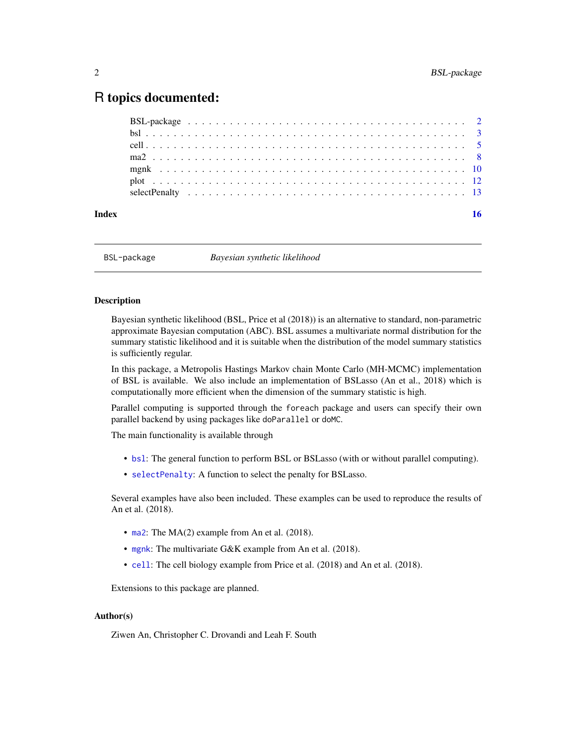# <span id="page-1-0"></span>R topics documented:

BSL-package *Bayesian synthetic likelihood*

# **Description**

Bayesian synthetic likelihood (BSL, Price et al (2018)) is an alternative to standard, non-parametric approximate Bayesian computation (ABC). BSL assumes a multivariate normal distribution for the summary statistic likelihood and it is suitable when the distribution of the model summary statistics is sufficiently regular.

In this package, a Metropolis Hastings Markov chain Monte Carlo (MH-MCMC) implementation of BSL is available. We also include an implementation of BSLasso (An et al., 2018) which is computationally more efficient when the dimension of the summary statistic is high.

Parallel computing is supported through the foreach package and users can specify their own parallel backend by using packages like doParallel or doMC.

The main functionality is available through

- [bsl](#page-2-1): The general function to perform BSL or BSLasso (with or without parallel computing).
- [selectPenalty](#page-12-1): A function to select the penalty for BSLasso.

Several examples have also been included. These examples can be used to reproduce the results of An et al. (2018).

- [ma2](#page-7-1): The MA(2) example from An et al. (2018).
- [mgnk](#page-9-1): The multivariate G&K example from An et al. (2018).
- [cell](#page-4-1): The cell biology example from Price et al. (2018) and An et al. (2018).

Extensions to this package are planned.

# Author(s)

Ziwen An, Christopher C. Drovandi and Leah F. South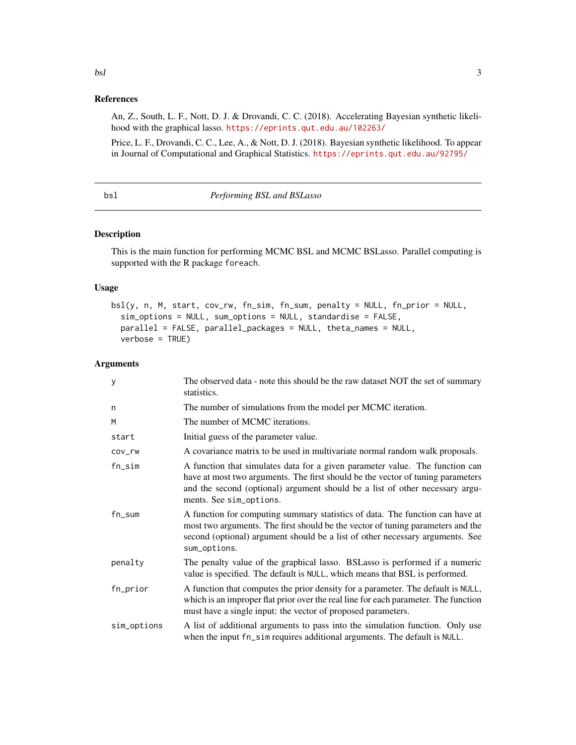#### <span id="page-2-0"></span>bsl 3

# References

An, Z., South, L. F., Nott, D. J. & Drovandi, C. C. (2018). Accelerating Bayesian synthetic likelihood with the graphical lasso. <https://eprints.qut.edu.au/102263/>

Price, L. F., Drovandi, C. C., Lee, A., & Nott, D. J. (2018). Bayesian synthetic likelihood. To appear in Journal of Computational and Graphical Statistics. <https://eprints.qut.edu.au/92795/>

#### <span id="page-2-1"></span>bsl *Performing BSL and BSLasso*

# Description

This is the main function for performing MCMC BSL and MCMC BSLasso. Parallel computing is supported with the R package foreach.

## Usage

```
bsl(y, n, M, start, cov_rw, fn_sim, fn_sum, penalty = NULL, fn_prior = NULL,
  sim_options = NULL, sum_options = NULL, standardise = FALSE,
 parallel = FALSE, parallel_packages = NULL, theta_names = NULL,
 verbose = TRUE)
```
# Arguments

| y           | The observed data - note this should be the raw dataset NOT the set of summary<br>statistics.                                                                                                                                                                              |
|-------------|----------------------------------------------------------------------------------------------------------------------------------------------------------------------------------------------------------------------------------------------------------------------------|
| n           | The number of simulations from the model per MCMC iteration.                                                                                                                                                                                                               |
| M           | The number of MCMC iterations.                                                                                                                                                                                                                                             |
| start       | Initial guess of the parameter value.                                                                                                                                                                                                                                      |
| COV_rw      | A covariance matrix to be used in multivariate normal random walk proposals.                                                                                                                                                                                               |
| fn_sim      | A function that simulates data for a given parameter value. The function can<br>have at most two arguments. The first should be the vector of tuning parameters<br>and the second (optional) argument should be a list of other necessary argu-<br>ments. See sim_options. |
| $fn\_sum$   | A function for computing summary statistics of data. The function can have at<br>most two arguments. The first should be the vector of tuning parameters and the<br>second (optional) argument should be a list of other necessary arguments. See<br>sum_options.          |
| penalty     | The penalty value of the graphical lasso. BSLasso is performed if a numeric<br>value is specified. The default is NULL, which means that BSL is performed.                                                                                                                 |
| fn_prior    | A function that computes the prior density for a parameter. The default is NULL,<br>which is an improper flat prior over the real line for each parameter. The function<br>must have a single input: the vector of proposed parameters.                                    |
| sim_options | A list of additional arguments to pass into the simulation function. Only use<br>when the input fn_sim requires additional arguments. The default is NULL.                                                                                                                 |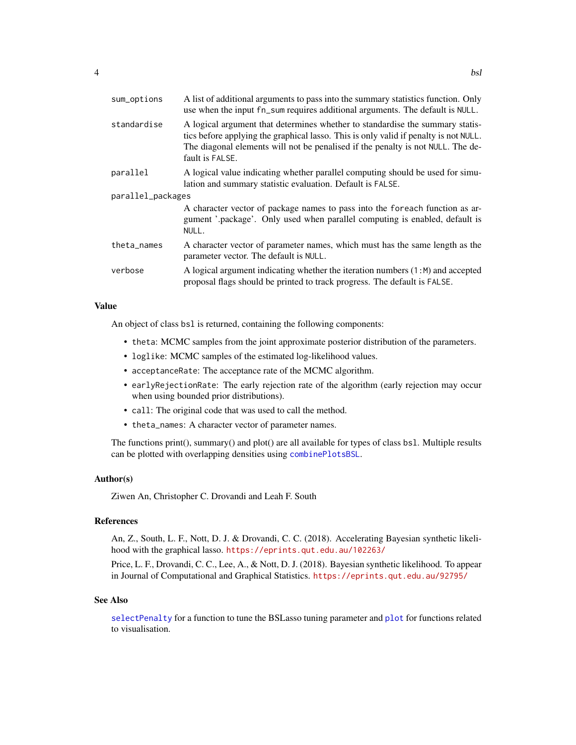<span id="page-3-0"></span>

| sum_options       | A list of additional arguments to pass into the summary statistics function. Only<br>use when the input fn_sum requires additional arguments. The default is NULL.                                                                                                          |
|-------------------|-----------------------------------------------------------------------------------------------------------------------------------------------------------------------------------------------------------------------------------------------------------------------------|
| standardise       | A logical argument that determines whether to standardise the summary statis-<br>tics before applying the graphical lasso. This is only valid if penalty is not NULL.<br>The diagonal elements will not be penalised if the penalty is not NULL. The de-<br>fault is FALSE. |
| parallel          | A logical value indicating whether parallel computing should be used for simu-<br>lation and summary statistic evaluation. Default is FALSE.                                                                                                                                |
| parallel_packages |                                                                                                                                                                                                                                                                             |
|                   | A character vector of package names to pass into the foreach function as ar-<br>gument '.package'. Only used when parallel computing is enabled, default is<br>NULL.                                                                                                        |
| theta_names       | A character vector of parameter names, which must has the same length as the<br>parameter vector. The default is NULL.                                                                                                                                                      |
| verbose           | A logical argument indicating whether the iteration numbers $(1:M)$ and accepted<br>proposal flags should be printed to track progress. The default is FALSE.                                                                                                               |

## Value

An object of class bsl is returned, containing the following components:

- theta: MCMC samples from the joint approximate posterior distribution of the parameters.
- loglike: MCMC samples of the estimated log-likelihood values.
- acceptanceRate: The acceptance rate of the MCMC algorithm.
- earlyRejectionRate: The early rejection rate of the algorithm (early rejection may occur when using bounded prior distributions).
- call: The original code that was used to call the method.
- theta\_names: A character vector of parameter names.

The functions print(), summary() and plot() are all available for types of class bsl. Multiple results can be plotted with overlapping densities using [combinePlotsBSL](#page-11-1).

## Author(s)

Ziwen An, Christopher C. Drovandi and Leah F. South

# References

An, Z., South, L. F., Nott, D. J. & Drovandi, C. C. (2018). Accelerating Bayesian synthetic likelihood with the graphical lasso. <https://eprints.qut.edu.au/102263/>

Price, L. F., Drovandi, C. C., Lee, A., & Nott, D. J. (2018). Bayesian synthetic likelihood. To appear in Journal of Computational and Graphical Statistics. <https://eprints.qut.edu.au/92795/>

# See Also

[selectPenalty](#page-12-1) for a function to tune the BSLasso tuning parameter and [plot](#page-11-2) for functions related to visualisation.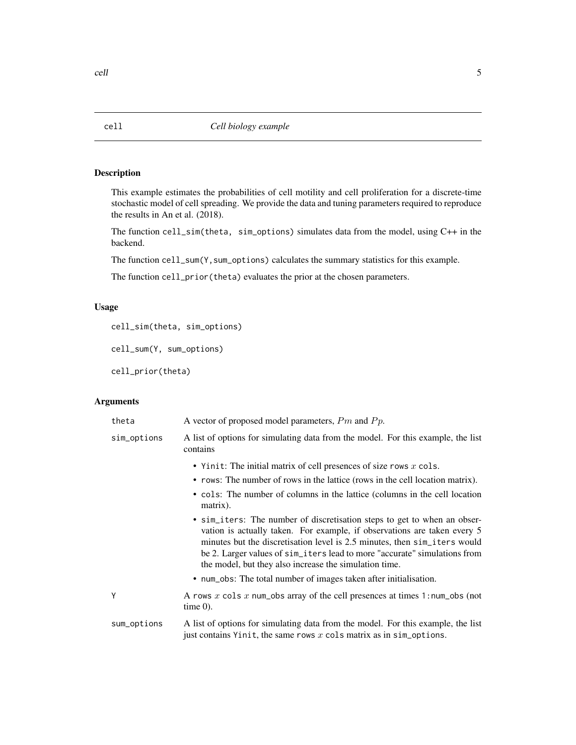# <span id="page-4-1"></span><span id="page-4-0"></span>Description

This example estimates the probabilities of cell motility and cell proliferation for a discrete-time stochastic model of cell spreading. We provide the data and tuning parameters required to reproduce the results in An et al. (2018).

The function cell\_sim(theta, sim\_options) simulates data from the model, using C++ in the backend.

The function cell\_sum(Y, sum\_options) calculates the summary statistics for this example.

The function cell\_prior(theta) evaluates the prior at the chosen parameters.

# Usage

cell\_sim(theta, sim\_options)

cell\_sum(Y, sum\_options)

cell\_prior(theta)

# Arguments

| theta       | A vector of proposed model parameters, $Pm$ and $Pp$ .                                                                                                                                                                                                                                                                                                                   |
|-------------|--------------------------------------------------------------------------------------------------------------------------------------------------------------------------------------------------------------------------------------------------------------------------------------------------------------------------------------------------------------------------|
| sim_options | A list of options for simulating data from the model. For this example, the list<br>contains                                                                                                                                                                                                                                                                             |
|             | • Yinit: The initial matrix of cell presences of size rows $x$ cols.                                                                                                                                                                                                                                                                                                     |
|             | • rows: The number of rows in the lattice (rows in the cell location matrix).                                                                                                                                                                                                                                                                                            |
|             | • cols: The number of columns in the lattice (columns in the cell location<br>matrix).                                                                                                                                                                                                                                                                                   |
|             | • sim_iters: The number of discretisation steps to get to when an obser-<br>vation is actually taken. For example, if observations are taken every 5<br>minutes but the discretisation level is 2.5 minutes, then sim_iters would<br>be 2. Larger values of sim_iters lead to more "accurate" simulations from<br>the model, but they also increase the simulation time. |
|             | • num_obs: The total number of images taken after initialisation.                                                                                                                                                                                                                                                                                                        |
| Y           | A rows x cols x num_obs array of the cell presences at times 1: num_obs (not<br>$time 0$ ).                                                                                                                                                                                                                                                                              |
| sum_options | A list of options for simulating data from the model. For this example, the list<br>just contains Yinit, the same rows $x$ cols matrix as in sim_options.                                                                                                                                                                                                                |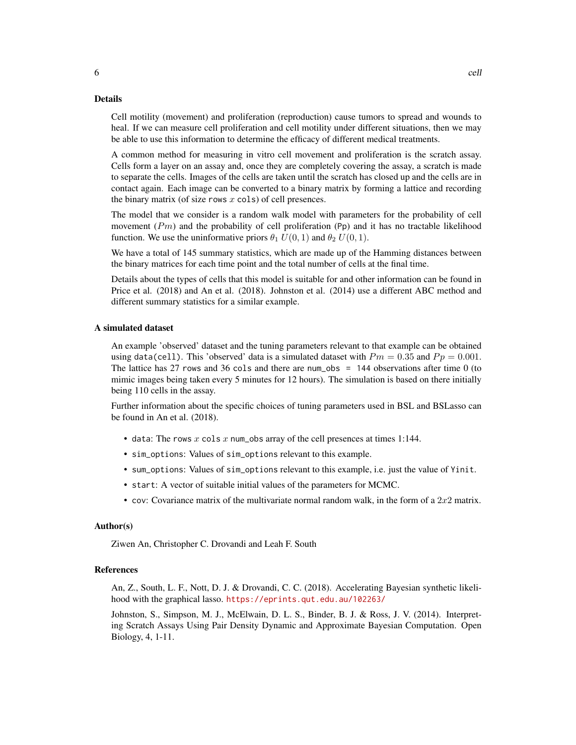#### Details

Cell motility (movement) and proliferation (reproduction) cause tumors to spread and wounds to heal. If we can measure cell proliferation and cell motility under different situations, then we may be able to use this information to determine the efficacy of different medical treatments.

A common method for measuring in vitro cell movement and proliferation is the scratch assay. Cells form a layer on an assay and, once they are completely covering the assay, a scratch is made to separate the cells. Images of the cells are taken until the scratch has closed up and the cells are in contact again. Each image can be converted to a binary matrix by forming a lattice and recording the binary matrix (of size rows  $x$  cols) of cell presences.

The model that we consider is a random walk model with parameters for the probability of cell movement  $(Pm)$  and the probability of cell proliferation  $(Pp)$  and it has no tractable likelihood function. We use the uninformative priors  $\theta_1 U(0, 1)$  and  $\theta_2 U(0, 1)$ .

We have a total of 145 summary statistics, which are made up of the Hamming distances between the binary matrices for each time point and the total number of cells at the final time.

Details about the types of cells that this model is suitable for and other information can be found in Price et al. (2018) and An et al. (2018). Johnston et al. (2014) use a different ABC method and different summary statistics for a similar example.

# A simulated dataset

An example 'observed' dataset and the tuning parameters relevant to that example can be obtained using data(cell). This 'observed' data is a simulated dataset with  $Pm = 0.35$  and  $Pp = 0.001$ . The lattice has 27 rows and 36 cols and there are num obs  $= 144$  observations after time 0 (to mimic images being taken every 5 minutes for 12 hours). The simulation is based on there initially being 110 cells in the assay.

Further information about the specific choices of tuning parameters used in BSL and BSLasso can be found in An et al. (2018).

- data: The rows  $x \text{ coils } x$  num\_obs array of the cell presences at times 1:144.
- sim\_options: Values of sim\_options relevant to this example.
- sum\_options: Values of sim\_options relevant to this example, i.e. just the value of Yinit.
- start: A vector of suitable initial values of the parameters for MCMC.
- cov: Covariance matrix of the multivariate normal random walk, in the form of a  $2x2$  matrix.

## Author(s)

Ziwen An, Christopher C. Drovandi and Leah F. South

### References

An, Z., South, L. F., Nott, D. J. & Drovandi, C. C. (2018). Accelerating Bayesian synthetic likelihood with the graphical lasso. <https://eprints.qut.edu.au/102263/>

Johnston, S., Simpson, M. J., McElwain, D. L. S., Binder, B. J. & Ross, J. V. (2014). Interpreting Scratch Assays Using Pair Density Dynamic and Approximate Bayesian Computation. Open Biology, 4, 1-11.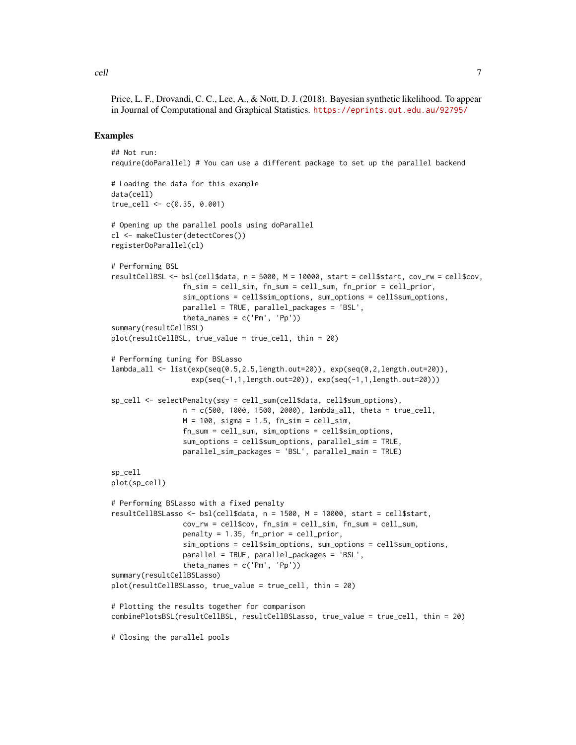Price, L. F., Drovandi, C. C., Lee, A., & Nott, D. J. (2018). Bayesian synthetic likelihood. To appear in Journal of Computational and Graphical Statistics. <https://eprints.qut.edu.au/92795/>

#### Examples

```
## Not run:
require(doParallel) # You can use a different package to set up the parallel backend
# Loading the data for this example
data(cell)
true_cell <- c(0.35, 0.001)
# Opening up the parallel pools using doParallel
cl <- makeCluster(detectCores())
registerDoParallel(cl)
# Performing BSL
resultCellBSL <- bsl(cell$data, n = 5000, M = 10000, start = cell$start, cov_rw = cell$cov,
                 fn_sim = cell_sim, fn_sum = cell_sum, fn_prior = cell_prior,
                 sim_options = cell$sim_options, sum_options = cell$sum_options,
                 parallel = TRUE, parallel_packages = 'BSL',
                 theta_names = c('Pm', 'Pp'))summary(resultCellBSL)
plot(resultCellBSL, true_value = true_cell, thin = 20)
# Performing tuning for BSLasso
lambda_all <- list(exp(seq(0.5,2.5,length.out=20)), exp(seq(0,2,length.out=20)),
                   exp(seq(-1,1,length.out=20)), exp(seq(-1,1,length.out=20)))
sp_cell <- selectPenalty(ssy = cell_sum(cell$data, cell$sum_options),
                 n = c(500, 1000, 1500, 2000), lambda_all, theta = true_cell,
                 M = 100, sigma = 1.5, fn_sim = cell_sim,
                 fn_sum = cell_sum, sim_options = cell$sim_options,
                 sum_options = cell$sum_options, parallel_sim = TRUE,
                 parallel_sim_packages = 'BSL', parallel_main = TRUE)
sp_cell
plot(sp_cell)
# Performing BSLasso with a fixed penalty
resultCellBSLasso <- bsl(cell$data, n = 1500, M = 10000, start = cell$start,
                 cov_rw = cell$cov, fn_sim = cell_sim, fn_sum = cell_sum,
                 penalty = 1.35, fn_prior = cell_prior,
                 sim_options = cell$sim_options, sum_options = cell$sum_options,
                 parallel = TRUE, parallel_packages = 'BSL',
                 theta_names = c('Pm', 'Pp'))summary(resultCellBSLasso)
plot(resultCellBSLasso, true_value = true_cell, thin = 20)
# Plotting the results together for comparison
combinePlotsBSL(resultCellBSL, resultCellBSLasso, true_value = true_cell, thin = 20)
# Closing the parallel pools
```
cell and the contract of the contract of the contract of the contract of the contract of the contract of the contract of the contract of the contract of the contract of the contract of the contract of the contract of the c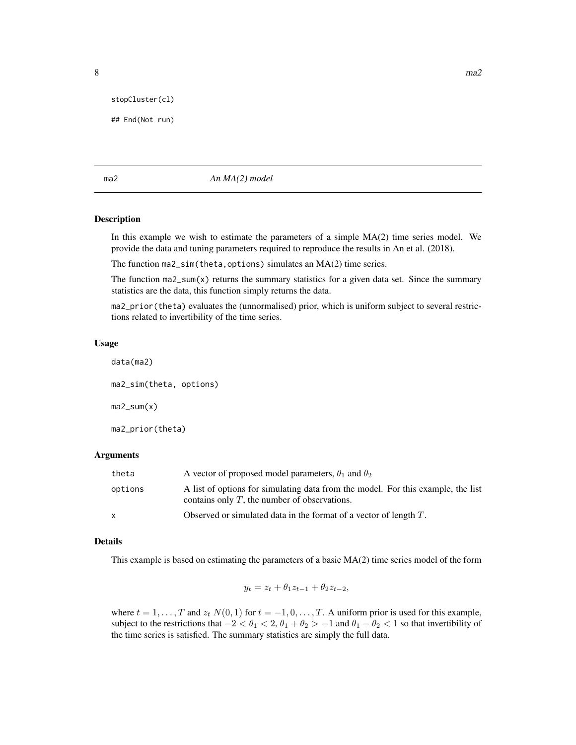<span id="page-7-0"></span>stopCluster(cl)

## End(Not run)

<span id="page-7-1"></span>ma2 *An MA(2) model*

# Description

In this example we wish to estimate the parameters of a simple  $MA(2)$  time series model. We provide the data and tuning parameters required to reproduce the results in An et al. (2018).

The function ma2\_sim(theta, options) simulates an MA(2) time series.

The function ma $2$ \_sum(x) returns the summary statistics for a given data set. Since the summary statistics are the data, this function simply returns the data.

ma2\_prior(theta) evaluates the (unnormalised) prior, which is uniform subject to several restrictions related to invertibility of the time series.

#### Usage

data(ma2)

ma2\_sim(theta, options)  $ma2$ \_sum $(x)$ ma2\_prior(theta)

# Arguments

| theta        | A vector of proposed model parameters, $\theta_1$ and $\theta_2$                                                                    |
|--------------|-------------------------------------------------------------------------------------------------------------------------------------|
| options      | A list of options for simulating data from the model. For this example, the list<br>contains only $T$ , the number of observations. |
| $\mathsf{x}$ | Observed or simulated data in the format of a vector of length $T$ .                                                                |

#### Details

This example is based on estimating the parameters of a basic MA(2) time series model of the form

$$
y_t = z_t + \theta_1 z_{t-1} + \theta_2 z_{t-2},
$$

where  $t = 1, \ldots, T$  and  $z_t$   $N(0, 1)$  for  $t = -1, 0, \ldots, T$ . A uniform prior is used for this example, subject to the restrictions that  $-2 < \theta_1 < 2$ ,  $\theta_1 + \theta_2 > -1$  and  $\theta_1 - \theta_2 < 1$  so that invertibility of the time series is satisfied. The summary statistics are simply the full data.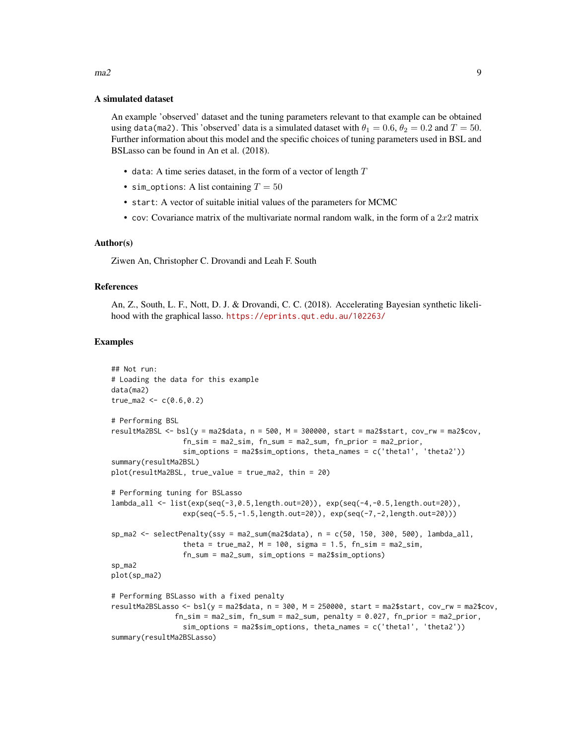#### A simulated dataset

An example 'observed' dataset and the tuning parameters relevant to that example can be obtained using data(ma2). This 'observed' data is a simulated dataset with  $\theta_1 = 0.6$ ,  $\theta_2 = 0.2$  and  $T = 50$ . Further information about this model and the specific choices of tuning parameters used in BSL and BSLasso can be found in An et al. (2018).

- data: A time series dataset, in the form of a vector of length  $T$
- sim\_options: A list containing  $T = 50$
- start: A vector of suitable initial values of the parameters for MCMC
- cov: Covariance matrix of the multivariate normal random walk, in the form of a  $2x2$  matrix

## Author(s)

Ziwen An, Christopher C. Drovandi and Leah F. South

# References

An, Z., South, L. F., Nott, D. J. & Drovandi, C. C. (2018). Accelerating Bayesian synthetic likelihood with the graphical lasso. <https://eprints.qut.edu.au/102263/>

# Examples

```
## Not run:
# Loading the data for this example
data(ma2)
true_ma2 <- c(0.6, 0.2)# Performing BSL
resultMa2BSL \leq- bsl(y = ma2$data, n = 500, M = 300000, start = ma2$start, cov_r w = ma2$cov,
                 fn_sim = ma2_sim, fn_sum = ma2_sum, fn_prior = ma2_prior,
                 sim_options = ma2$sim_options, theta_names = c('theta1', 'theta2'))
summary(resultMa2BSL)
plot(resultMa2BSL, true_value = true_ma2, thin = 20)
# Performing tuning for BSLasso
lambda_all <- list(exp(seq(-3,0.5,length.out=20)), exp(seq(-4,-0.5,length.out=20)),
                 exp(seq(-5.5,-1.5,length.out=20)), exp(seq(-7,-2,length.out=20)))
sp\_ma2 \le selectPenalty(ssy = ma2_sum(ma2$data), n = c(50, 150, 300, 500), lambda_all,
                 theta = true_ma2, M = 100, sigma = 1.5, fn\_sim = ma2\_sim,
                 fn_sum = ma2_sum, sim_options = ma2$sim_options)
sp_ma2
plot(sp_ma2)
# Performing BSLasso with a fixed penalty
resultMa2BSLasso <- bsl(y = ma2$data, n = 300, M = 250000, start = ma2$start, cov_rw = ma2$cov,
               fn\_sim = ma2\_sim, fn\_sum = ma2\_sum, penalty = 0.027, fn\_prior = ma2\_prior,
                 sim_options = ma2$sim_options, theta_names = c('theta1', 'theta2'))
summary(resultMa2BSLasso)
```
# $ma2$  9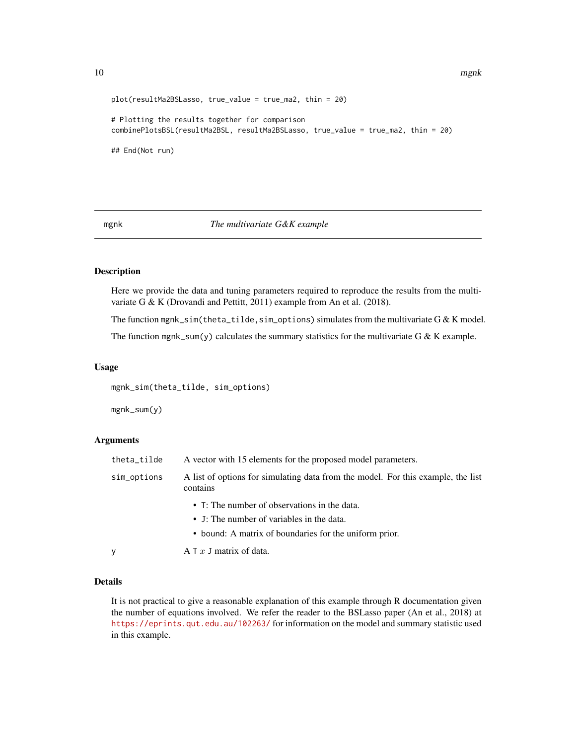10 mgnk

```
plot(resultMa2BSLasso, true_value = true_ma2, thin = 20)
# Plotting the results together for comparison
combinePlotsBSL(resultMa2BSL, resultMa2BSLasso, true_value = true_ma2, thin = 20)
## End(Not run)
```
#### <span id="page-9-1"></span>mgnk *The multivariate G&K example*

# Description

Here we provide the data and tuning parameters required to reproduce the results from the multivariate G & K (Drovandi and Pettitt, 2011) example from An et al. (2018).

The function mgnk\_sim(theta\_tilde,sim\_options) simulates from the multivariate  $G & K$  model.

The function mgnk\_sum(y) calculates the summary statistics for the multivariate G & K example.

#### Usage

mgnk\_sim(theta\_tilde, sim\_options)

mgnk\_sum(y)

# Arguments

| theta_tilde | A vector with 15 elements for the proposed model parameters.                                                                                        |
|-------------|-----------------------------------------------------------------------------------------------------------------------------------------------------|
| sim_options | A list of options for simulating data from the model. For this example, the list<br>contains                                                        |
|             | • T: The number of observations in the data.<br>• J: The number of variables in the data.<br>• bound: A matrix of boundaries for the uniform prior. |
| y           | A T $x$ J matrix of data.                                                                                                                           |

#### Details

It is not practical to give a reasonable explanation of this example through R documentation given the number of equations involved. We refer the reader to the BSLasso paper (An et al., 2018) at <https://eprints.qut.edu.au/102263/> for information on the model and summary statistic used in this example.

<span id="page-9-0"></span>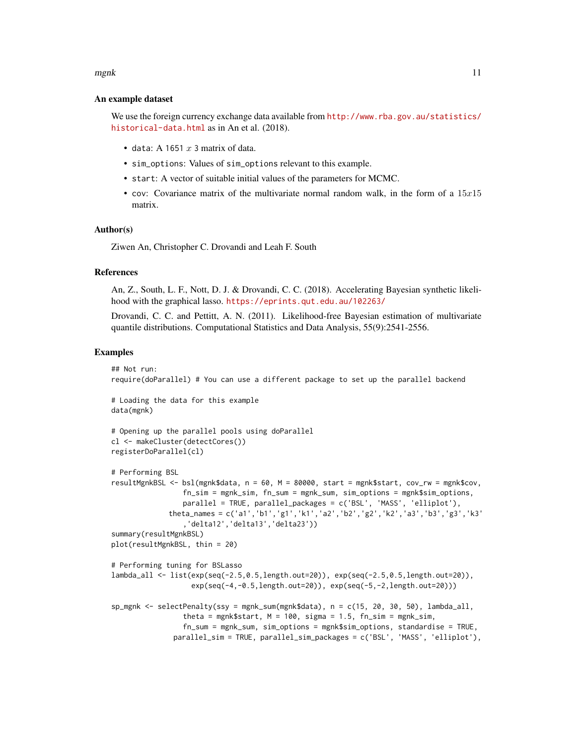#### mgnk to the contract of the contract of the contract of the contract of the contract of the contract of the contract of the contract of the contract of the contract of the contract of the contract of the contract of the co

## An example dataset

We use the foreign currency exchange data available from [http://www.rba.gov.au/statistics/](http://www.rba.gov.au/statistics/historical-data.html) [historical-data.html](http://www.rba.gov.au/statistics/historical-data.html) as in An et al. (2018).

- data: A 1651  $x$  3 matrix of data.
- sim\_options: Values of sim\_options relevant to this example.
- start: A vector of suitable initial values of the parameters for MCMC.
- cov: Covariance matrix of the multivariate normal random walk, in the form of a  $15x15$ matrix.

#### Author(s)

Ziwen An, Christopher C. Drovandi and Leah F. South

#### References

An, Z., South, L. F., Nott, D. J. & Drovandi, C. C. (2018). Accelerating Bayesian synthetic likelihood with the graphical lasso. <https://eprints.qut.edu.au/102263/>

Drovandi, C. C. and Pettitt, A. N. (2011). Likelihood-free Bayesian estimation of multivariate quantile distributions. Computational Statistics and Data Analysis, 55(9):2541-2556.

#### Examples

```
## Not run:
require(doParallel) # You can use a different package to set up the parallel backend
# Loading the data for this example
data(mgnk)
# Opening up the parallel pools using doParallel
cl <- makeCluster(detectCores())
registerDoParallel(cl)
# Performing BSL
resultMgnkBSL <- bsl(mgnk$data, n = 60, M = 80000, start = mgnk$start, cov_rw = mgnk$cov,
                 fn_sim = mgnk_sim, fn_sum = mgnk_sum, sim_options = mgnk$sim_options,
                 parallel = TRUE, parallel_packages = c('BSL', 'MASS', 'elliplot'),
             theta_names = c('a1','b1','g1','k1','a2','b2','g2','k2','a3','b3','g3','k3'
                 ,'delta12','delta13','delta23'))
summary(resultMgnkBSL)
plot(resultMgnkBSL, thin = 20)
# Performing tuning for BSLasso
lambda_all <- list(exp(seq(-2.5,0.5,length.out=20)), exp(seq(-2.5,0.5,length.out=20)),
                   exp(seq(-4,-0.5,length.out=20)), exp(seq(-5,-2,length.out=20)))
sp_mgnk \leq selectPenalty(ssy = mgnk_sum(mgnk$data), n = c(15, 20, 30, 50), lambda_all,theta = mgnk$start, M = 100, sigma = 1.5, fn_sim = mgnk_sim,
                 fn_sum = mgnk_sum, sim_options = mgnk$sim_options, standardise = TRUE,
              parallel_sim = TRUE, parallel_sim_packages = c('BSL', 'MASS', 'elliplot'),
```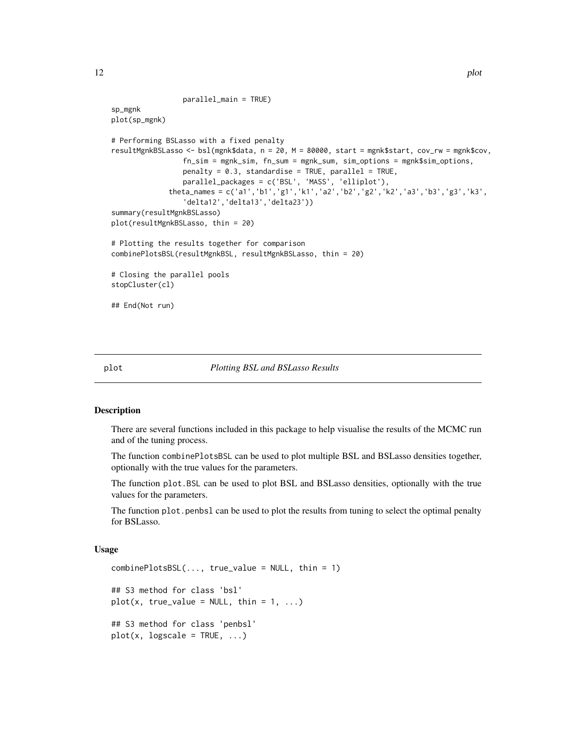```
parallel_main = TRUE)
sp_mgnk
plot(sp_mgnk)
# Performing BSLasso with a fixed penalty
resultMgnkBSLasso <- bsl(mgnk$data, n = 20, M = 80000, start = mgnk$start, cov_rw = mgnk$cov,
                 fn_sim = mgnk_sim, fn_sum = mgnk_sum, sim_options = mgnk$sim_options,
                 penalty = 0.3, standardise = TRUE, parallel = TRUE,
                 parallel_packages = c('BSL', 'MASS', 'elliplot'),
              theta_names = c('a1','b1','g1','k1','a2','b2','g2','k2','a3','b3','g3','k3',
                 'delta12','delta13','delta23'))
summary(resultMgnkBSLasso)
plot(resultMgnkBSLasso, thin = 20)
# Plotting the results together for comparison
combinePlotsBSL(resultMgnkBSL, resultMgnkBSLasso, thin = 20)
# Closing the parallel pools
stopCluster(cl)
## End(Not run)
```
# <span id="page-11-2"></span>plot *Plotting BSL and BSLasso Results*

#### <span id="page-11-1"></span>**Description**

There are several functions included in this package to help visualise the results of the MCMC run and of the tuning process.

The function combinePlotsBSL can be used to plot multiple BSL and BSLasso densities together, optionally with the true values for the parameters.

The function plot.BSL can be used to plot BSL and BSLasso densities, optionally with the true values for the parameters.

The function plot.penbsl can be used to plot the results from tuning to select the optimal penalty for BSLasso.

## Usage

```
combinePlotsBSL(..., true_value = NULL, thin = 1)## S3 method for class 'bsl'
plot(x, true_value = NULL, thin = 1, ...)## S3 method for class 'penbsl'
plot(x, logscale = TRUE, ...)
```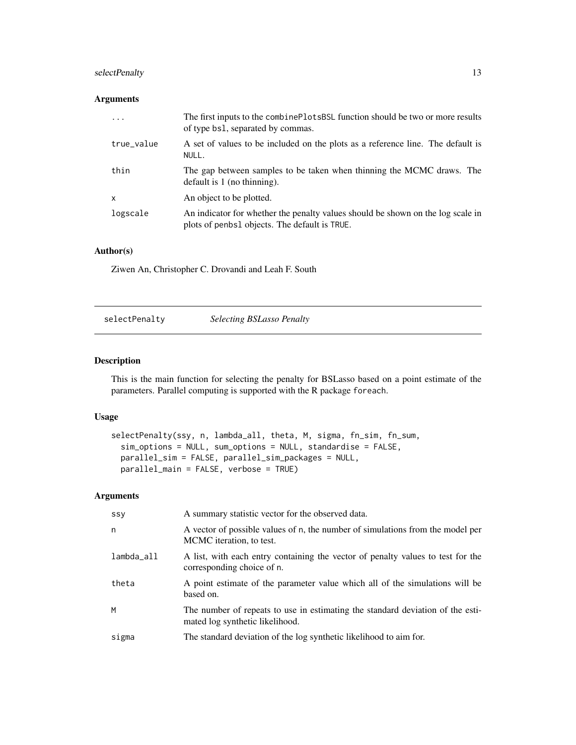# <span id="page-12-0"></span>selectPenalty 13

# Arguments

| .          | The first inputs to the combine Plots BSL function should be two or more results<br>of type bs1, separated by commas.            |
|------------|----------------------------------------------------------------------------------------------------------------------------------|
| true_value | A set of values to be included on the plots as a reference line. The default is<br>NULL.                                         |
| thin       | The gap between samples to be taken when thinning the MCMC draws. The<br>default is $1$ (no thinning).                           |
| x          | An object to be plotted.                                                                                                         |
| logscale   | An indicator for whether the penalty values should be shown on the log scale in<br>plots of penbs1 objects. The default is TRUE. |

# Author(s)

Ziwen An, Christopher C. Drovandi and Leah F. South

<span id="page-12-1"></span>selectPenalty *Selecting BSLasso Penalty*

# Description

This is the main function for selecting the penalty for BSLasso based on a point estimate of the parameters. Parallel computing is supported with the R package foreach.

# Usage

```
selectPenalty(ssy, n, lambda_all, theta, M, sigma, fn_sim, fn_sum,
  sim_options = NULL, sum_options = NULL, standardise = FALSE,
 parallel_sim = FALSE, parallel_sim_packages = NULL,
 parallel_main = FALSE, verbose = TRUE)
```
# Arguments

| SSV        | A summary statistic vector for the observed data.                                                                 |
|------------|-------------------------------------------------------------------------------------------------------------------|
| n          | A vector of possible values of n, the number of simulations from the model per<br>MCMC iteration, to test.        |
| lambda_all | A list, with each entry containing the vector of penalty values to test for the<br>corresponding choice of n.     |
| theta      | A point estimate of the parameter value which all of the simulations will be<br>based on.                         |
| M          | The number of repeats to use in estimating the standard deviation of the esti-<br>mated log synthetic likelihood. |
| sigma      | The standard deviation of the log synthetic likelihood to aim for.                                                |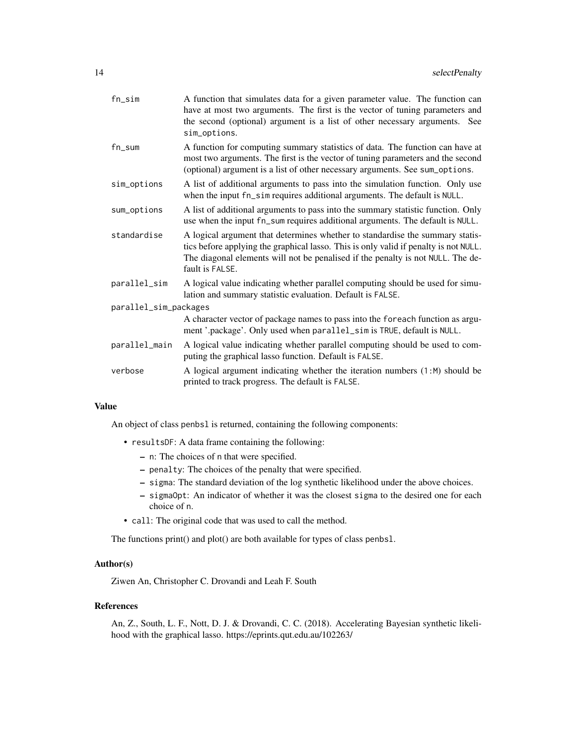| $fn$ _sim             | A function that simulates data for a given parameter value. The function can<br>have at most two arguments. The first is the vector of tuning parameters and<br>the second (optional) argument is a list of other necessary arguments. See<br>sim_options.                  |
|-----------------------|-----------------------------------------------------------------------------------------------------------------------------------------------------------------------------------------------------------------------------------------------------------------------------|
| $fn\_sum$             | A function for computing summary statistics of data. The function can have at<br>most two arguments. The first is the vector of tuning parameters and the second<br>(optional) argument is a list of other necessary arguments. See sum_options.                            |
| sim_options           | A list of additional arguments to pass into the simulation function. Only use<br>when the input fn_sim requires additional arguments. The default is NULL.                                                                                                                  |
| sum_options           | A list of additional arguments to pass into the summary statistic function. Only<br>use when the input fn_sum requires additional arguments. The default is NULL.                                                                                                           |
| standardise           | A logical argument that determines whether to standardise the summary statis-<br>tics before applying the graphical lasso. This is only valid if penalty is not NULL.<br>The diagonal elements will not be penalised if the penalty is not NULL. The de-<br>fault is FALSE. |
| parallel_sim          | A logical value indicating whether parallel computing should be used for simu-<br>lation and summary statistic evaluation. Default is FALSE.                                                                                                                                |
| parallel_sim_packages |                                                                                                                                                                                                                                                                             |
|                       | A character vector of package names to pass into the foreach function as argu-<br>ment '.package'. Only used when parallel_sim is TRUE, default is NULL.                                                                                                                    |
| parallel_main         | A logical value indicating whether parallel computing should be used to com-<br>puting the graphical lasso function. Default is FALSE.                                                                                                                                      |
| verbose               | A logical argument indicating whether the iteration numbers $(1:M)$ should be<br>printed to track progress. The default is FALSE.                                                                                                                                           |
|                       |                                                                                                                                                                                                                                                                             |

# Value

An object of class penbsl is returned, containing the following components:

- resultsDF: A data frame containing the following:
	- n: The choices of n that were specified.
	- penalty: The choices of the penalty that were specified.
	- sigma: The standard deviation of the log synthetic likelihood under the above choices.
	- sigmaOpt: An indicator of whether it was the closest sigma to the desired one for each choice of n.
- call: The original code that was used to call the method.

The functions print() and plot() are both available for types of class penbsl.

# Author(s)

Ziwen An, Christopher C. Drovandi and Leah F. South

# References

An, Z., South, L. F., Nott, D. J. & Drovandi, C. C. (2018). Accelerating Bayesian synthetic likelihood with the graphical lasso. https://eprints.qut.edu.au/102263/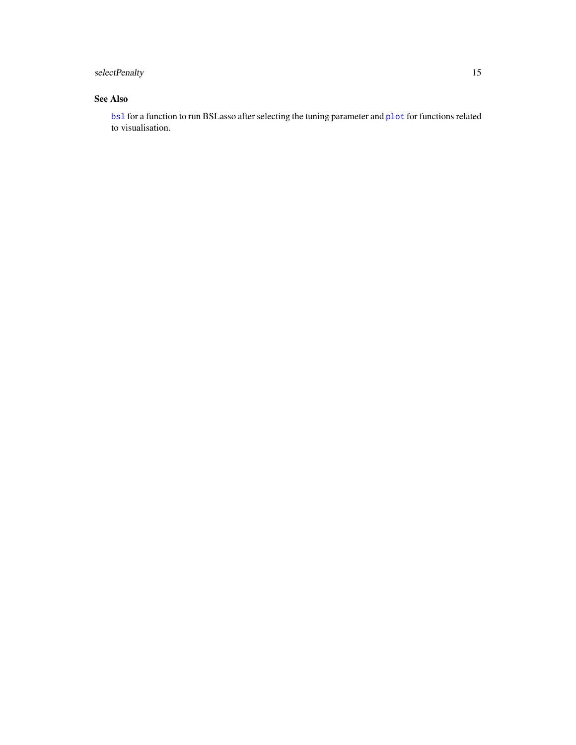# <span id="page-14-0"></span>selectPenalty 15

# See Also

[bsl](#page-2-1) for a function to run BSLasso after selecting the tuning parameter and [plot](#page-11-2) for functions related to visualisation.